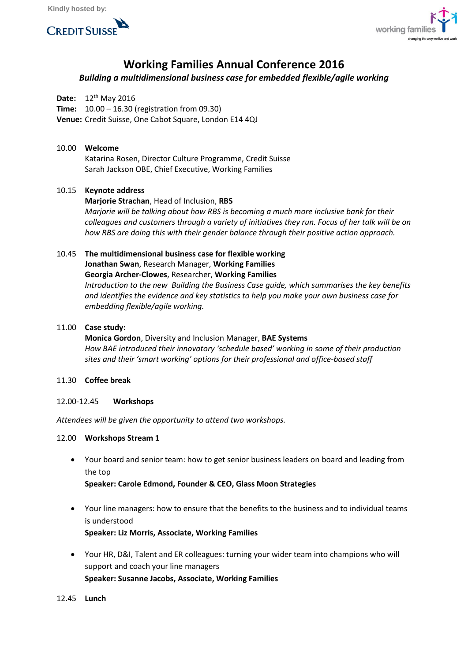



# **Working Families Annual Conference 2016**

# *Building a multidimensional business case for embedded flexible/agile working*

**Date:** 12<sup>th</sup> May 2016

**Time:** 10.00 – 16.30 (registration from 09.30)

**Venue:** Credit Suisse, One Cabot Square, London E14 4QJ

### 10.00 **Welcome**

Katarina Rosen, Director Culture Programme, Credit Suisse Sarah Jackson OBE, Chief Executive, Working Families

## 10.15 **Keynote address**

**Marjorie Strachan**, Head of Inclusion, **RBS**

*Marjorie will be talking about how RBS is becoming a much more inclusive bank for their colleagues and customers through a variety of initiatives they run. Focus of her talk will be on how RBS are doing this with their gender balance through their positive action approach.*

# 10.45 **The multidimensional business case for flexible working Jonathan Swan**, Research Manager, **Working Families Georgia Archer-Clowes**, Researcher, **Working Families** *Introduction to the new Building the Business Case guide, which summarises the key benefits and identifies the evidence and key statistics to help you make your own business case for embedding flexible/agile working.*

## 11.00 **Case study:**

# **Monica Gordon**, Diversity and Inclusion Manager, **BAE Systems** *How BAE introduced their innovatory 'schedule based' working in some of their production sites and their 'smart working' options for their professional and office-based staff*

#### 11.30 **Coffee break**

#### 12.00-12.45 **Workshops**

*Attendees will be given the opportunity to attend two workshops.*

#### 12.00 **Workshops Stream 1**

 Your board and senior team: how to get senior business leaders on board and leading from the top

**Speaker: Carole Edmond, Founder & CEO, Glass Moon Strategies**

- Your line managers: how to ensure that the benefits to the business and to individual teams is understood **Speaker: Liz Morris, Associate, Working Families**
- Your HR, D&I, Talent and ER colleagues: turning your wider team into champions who will support and coach your line managers **Speaker: Susanne Jacobs, Associate, Working Families**

#### 12.45 **Lunch**